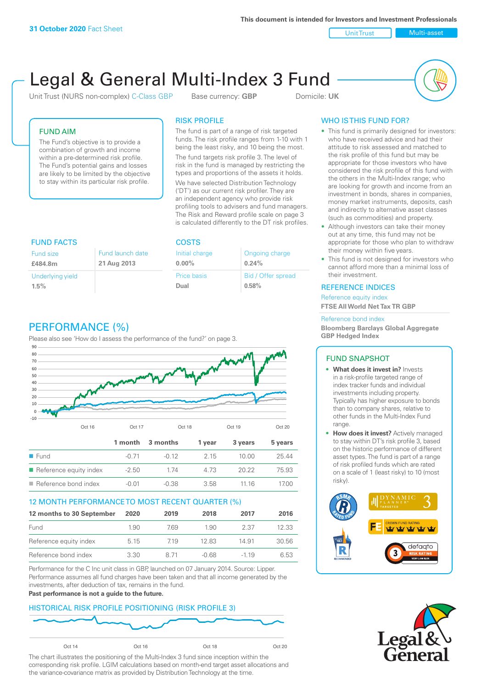**This document is intended for Investors and Investment Professionals**

Unit Trust Nulti-asset

# Legal & General Multi-Index 3 Fund

Unit Trust (NURS non-complex) C-Class GBP Base currency: **GBP** Domicile: UK



# FUND AIM

The Fund's objective is to provide a combination of growth and income within a pre-determined risk profile. The Fund's potential gains and losses are likely to be limited by the objective to stay within its particular risk profile.

## RISK PROFILE

The fund is part of a range of risk targeted funds. The risk profile ranges from 1-10 with 1 being the least risky, and 10 being the most.

The fund targets risk profile 3. The level of risk in the fund is managed by restricting the types and proportions of the assets it holds. We have selected Distribution Technology ('DT') as our current risk profiler. They are an independent agency who provide risk profiling tools to advisers and fund managers. The Risk and Reward profile scale on page 3 is calculated differently to the DT risk profiles.

Ongoing charge

Bid / Offer spread

**0.24%**

**0.58%**

| <b>FUND FACTS</b>           |                                 | <b>COSTS</b>               |
|-----------------------------|---------------------------------|----------------------------|
| <b>Fund size</b><br>£484.8m | Fund launch date<br>21 Aug 2013 | Initial charge<br>$0.00\%$ |
| Underlying yield<br>$1.5\%$ |                                 | <b>Price basis</b><br>Dual |

# PERFORMANCE (%)

Please also see 'How do I assess the performance of the fund?' on page 3.



## 12 MONTH PERFORMANCE TO MOST RECENT QUARTER (%)

| 12 months to 30 September | 2020 | 2019 | 2018    | 2017   | 2016  |
|---------------------------|------|------|---------|--------|-------|
| Fund                      | 1.90 | 769  | 1.90    | 2.37   | 12.33 |
| Reference equity index    | 5.15 | 719  | 1283    | 14.91  | 30.56 |
| Reference bond index      | 3.30 | 8.71 | $-0.68$ | $-119$ | 6.53  |

Performance for the C Inc unit class in GBP, launched on 07 January 2014. Source: Lipper. Performance assumes all fund charges have been taken and that all income generated by the investments, after deduction of tax, remains in the fund.

#### **Past performance is not a guide to the future.**

# HISTORICAL RISK PROFILE POSITIONING (RISK PROFILE 3)



The chart illustrates the positioning of the Multi-Index 3 fund since inception within the corresponding risk profile. LGIM calculations based on month-end target asset allocations and the variance-covariance matrix as provided by Distribution Technology at the time.

# WHO IS THIS FUND FOR?

- This fund is primarily designed for investors: who have received advice and had their attitude to risk assessed and matched to the risk profile of this fund but may be appropriate for those investors who have considered the risk profile of this fund with the others in the Multi-Index range; who are looking for growth and income from an investment in bonds, shares in companies, money market instruments, deposits, cash and indirectly to alternative asset classes (such as commodities) and property.
- Although investors can take their money out at any time, this fund may not be appropriate for those who plan to withdraw their money within five years.
- This fund is not designed for investors who cannot afford more than a minimal loss of their investment.

## REFERENCE INDICES

Reference equity index **FTSE All World Net Tax TR GBP**

#### Reference bond index

**Bloomberg Barclays Global Aggregate GBP Hedged Index**

## FUND SNAPSHOT

- **• What does it invest in?** Invests in a risk-profile targeted range of index tracker funds and individual investments including property. Typically has higher exposure to bonds than to company shares, relative to other funds in the Multi-Index Fund range.
- **• How does it invest?** Actively managed to stay within DT's risk profile 3, based on the historic performance of different asset types. The fund is part of a range of risk profiled funds which are rated on a scale of 1 (least risky) to 10 (most risky).



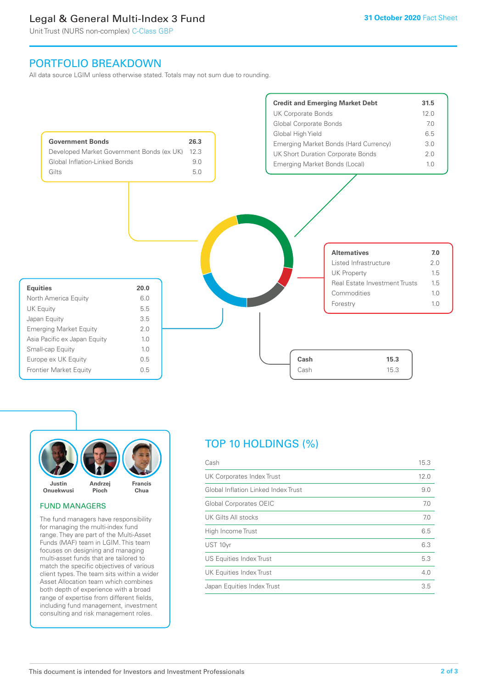# Legal & General Multi-Index 3 Fund

Unit Trust (NURS non-complex) C-Class GBP

# PORTFOLIO BREAKDOWN

All data source LGIM unless otherwise stated. Totals may not sum due to rounding.





## FUND MANAGERS

The fund managers have responsibility for managing the multi-index fund range. They are part of the Multi-Asset Funds (MAF) team in LGIM. This team focuses on designing and managing multi-asset funds that are tailored to match the specific objectives of various client types. The team sits within a wider Asset Allocation team which combines both depth of experience with a broad range of expertise from different fields, including fund management, investment consulting and risk management roles.

# TOP 10 HOLDINGS (%)

| Cash                                | 15.3 |
|-------------------------------------|------|
| UK Corporates Index Trust           | 12.0 |
| Global Inflation Linked Index Trust | 9.0  |
| Global Corporates OEIC              | 7.0  |
| UK Gilts All stocks                 | 7.0  |
| High Income Trust                   | 6.5  |
| UST 10yr                            | 6.3  |
| US Equities Index Trust             | 5.3  |
| <b>UK Equities Index Trust</b>      | 4.0  |
| Japan Equities Index Trust          | 3.5  |